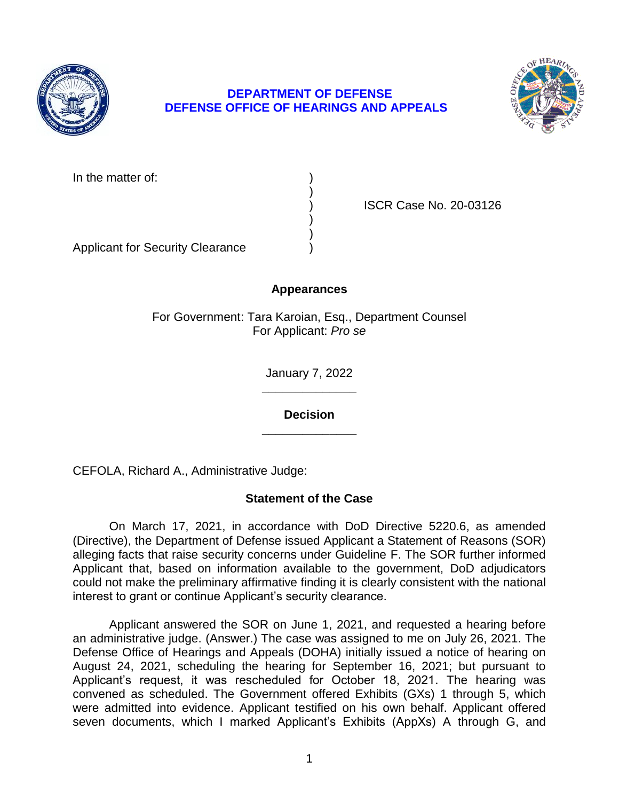

## **DEPARTMENT OF DEFENSE DEFENSE OFFICE OF HEARINGS AND APPEALS**



In the matter of:

) ISCR Case No. 20-03126

Applicant for Security Clearance )

# **Appearances**

)

) )

For Government: Tara Karoian, Esq., Department Counsel For Applicant: *Pro se* 

> **\_\_\_\_\_\_\_\_\_\_\_\_\_\_**  January 7, 2022

> **\_\_\_\_\_\_\_\_\_\_\_\_\_\_ Decision**

CEFOLA, Richard A., Administrative Judge:

## **Statement of the Case**

 On March 17, 2021, in accordance with DoD Directive 5220.6, as amended (Directive), the Department of Defense issued Applicant a Statement of Reasons (SOR) alleging facts that raise security concerns under Guideline F. The SOR further informed Applicant that, based on information available to the government, DoD adjudicators could not make the preliminary affirmative finding it is clearly consistent with the national interest to grant or continue Applicant's security clearance.

 Applicant answered the SOR on June 1, 2021, and requested a hearing before an administrative judge. (Answer.) The case was assigned to me on July 26, 2021. The Defense Office of Hearings and Appeals (DOHA) initially issued a notice of hearing on August 24, 2021, scheduling the hearing for September 16, 2021; but pursuant to Applicant's request, it was rescheduled for October 18, 2021. The hearing was convened as scheduled. The Government offered Exhibits (GXs) 1 through 5, which were admitted into evidence. Applicant testified on his own behalf. Applicant offered seven documents, which I marked Applicant's Exhibits (AppXs) A through G, and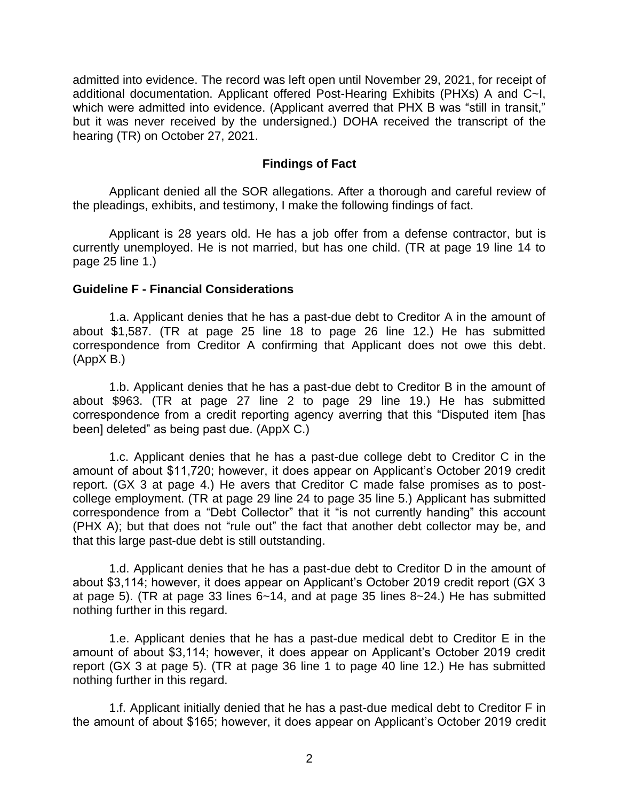admitted into evidence. The record was left open until November 29, 2021, for receipt of additional documentation. Applicant offered Post-Hearing Exhibits (PHXs) A and C~I, which were admitted into evidence. (Applicant averred that PHX B was "still in transit," but it was never received by the undersigned.) DOHA received the transcript of the hearing (TR) on October 27, 2021.

### **Findings of Fact**

 Applicant denied all the SOR allegations. After a thorough and careful review of the pleadings, exhibits, and testimony, I make the following findings of fact.

 Applicant is 28 years old. He has a job offer from a defense contractor, but is currently unemployed. He is not married, but has one child. (TR at page 19 line 14 to page 25 line 1.)

### **Guideline F - Financial Considerations**

 1.a. Applicant denies that he has a past-due debt to Creditor A in the amount of about \$1,587. (TR at page 25 line 18 to page 26 line 12.) He has submitted correspondence from Creditor A confirming that Applicant does not owe this debt. (AppX B.)

 1.b. Applicant denies that he has a past-due debt to Creditor B in the amount of about \$963. (TR at page 27 line 2 to page 29 line 19.) He has submitted correspondence from a credit reporting agency averring that this "Disputed item [has been] deleted" as being past due. (AppX C.)

1.c. Applicant denies that he has a past-due college debt to Creditor C in the amount of about \$11,720; however, it does appear on Applicant's October 2019 credit report. (GX 3 at page 4.) He avers that Creditor C made false promises as to postcollege employment. (TR at page 29 line 24 to page 35 line 5.) Applicant has submitted correspondence from a "Debt Collector" that it "is not currently handing" this account (PHX A); but that does not "rule out" the fact that another debt collector may be, and that this large past-due debt is still outstanding.

1.d. Applicant denies that he has a past-due debt to Creditor D in the amount of about \$3,114; however, it does appear on Applicant's October 2019 credit report (GX 3 at page 5). (TR at page 33 lines 6~14, and at page 35 lines 8~24.) He has submitted nothing further in this regard.

1.e. Applicant denies that he has a past-due medical debt to Creditor E in the amount of about \$3,114; however, it does appear on Applicant's October 2019 credit report (GX 3 at page 5). (TR at page 36 line 1 to page 40 line 12.) He has submitted nothing further in this regard.

 1.f. Applicant initially denied that he has a past-due medical debt to Creditor F in the amount of about \$165; however, it does appear on Applicant's October 2019 credit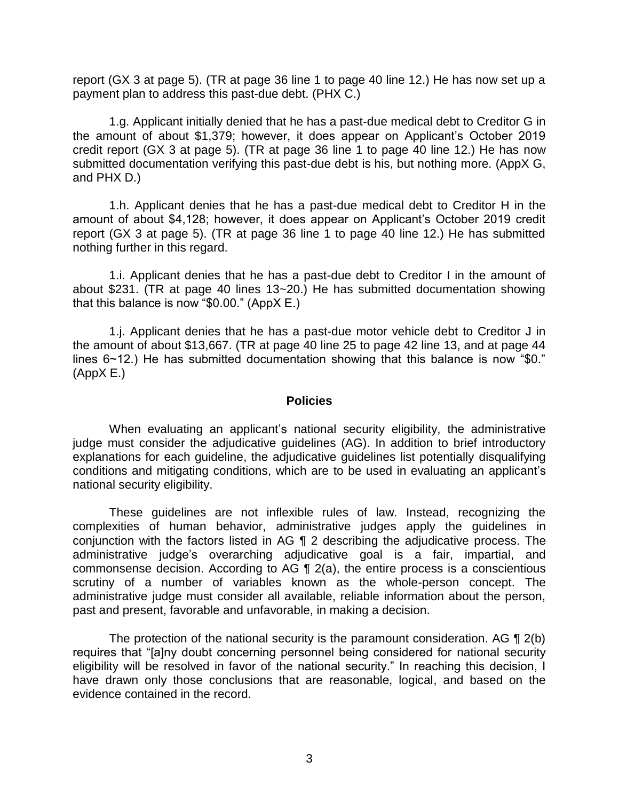report (GX 3 at page 5). (TR at page 36 line 1 to page 40 line 12.) He has now set up a payment plan to address this past-due debt. (PHX C.)

 the amount of about \$1,379; however, it does appear on Applicant's October 2019 credit report (GX 3 at page 5). (TR at page 36 line 1 to page 40 line 12.) He has now submitted documentation verifying this past-due debt is his, but nothing more. (AppX G, 1.g. Applicant initially denied that he has a past-due medical debt to Creditor G in and PHX D.)

1.h. Applicant denies that he has a past-due medical debt to Creditor H in the amount of about \$4,128; however, it does appear on Applicant's October 2019 credit report (GX 3 at page 5). (TR at page 36 line 1 to page 40 line 12.) He has submitted nothing further in this regard.

 1.i. Applicant denies that he has a past-due debt to Creditor I in the amount of about \$231. (TR at page 40 lines 13~20.) He has submitted documentation showing that this balance is now "\$0.00." (AppX E.)

 1.j. Applicant denies that he has a past-due motor vehicle debt to Creditor J in the amount of about \$13,667. (TR at page 40 line 25 to page 42 line 13, and at page 44 lines 6~12.) He has submitted documentation showing that this balance is now "\$0." (AppX E.)

#### **Policies**

 When evaluating an applicant's national security eligibility, the administrative judge must consider the adjudicative guidelines (AG). In addition to brief introductory explanations for each guideline, the adjudicative guidelines list potentially disqualifying conditions and mitigating conditions, which are to be used in evaluating an applicant's national security eligibility.

 These guidelines are not inflexible rules of law. Instead, recognizing the complexities of human behavior, administrative judges apply the guidelines in conjunction with the factors listed in AG ¶ 2 describing the adjudicative process. The commonsense decision. According to AG  $\P$  2(a), the entire process is a conscientious scrutiny of a number of variables known as the whole-person concept. The administrative judge must consider all available, reliable information about the person, administrative judge's overarching adjudicative goal is a fair, impartial, and past and present, favorable and unfavorable, in making a decision.

The protection of the national security is the paramount consideration. AG  $\P$  2(b) eligibility will be resolved in favor of the national security." In reaching this decision, I have drawn only those conclusions that are reasonable, logical, and based on the requires that "[a]ny doubt concerning personnel being considered for national security evidence contained in the record.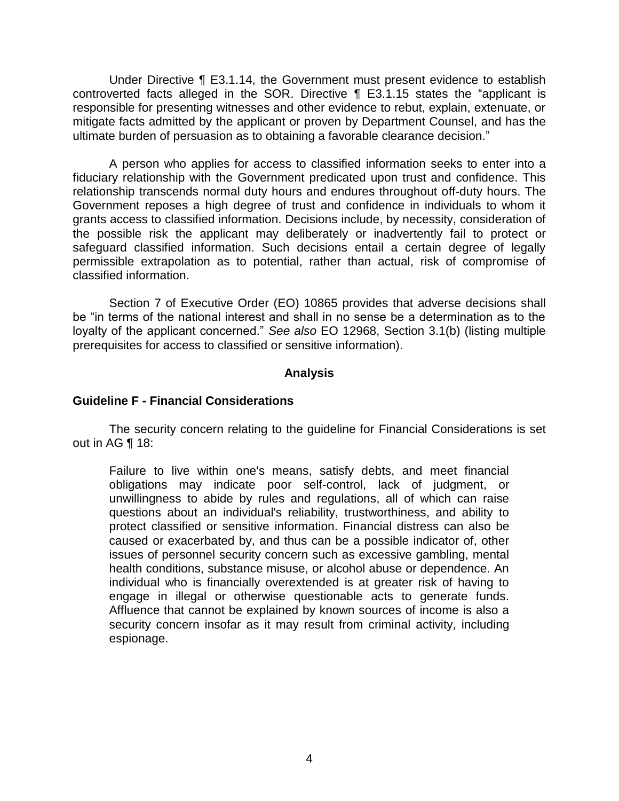Under Directive ¶ E3.1.14, the Government must present evidence to establish controverted facts alleged in the SOR. Directive ¶ E3.1.15 states the "applicant is responsible for presenting witnesses and other evidence to rebut, explain, extenuate, or mitigate facts admitted by the applicant or proven by Department Counsel, and has the ultimate burden of persuasion as to obtaining a favorable clearance decision."

 A person who applies for access to classified information seeks to enter into a fiduciary relationship with the Government predicated upon trust and confidence. This relationship transcends normal duty hours and endures throughout off-duty hours. The Government reposes a high degree of trust and confidence in individuals to whom it grants access to classified information. Decisions include, by necessity, consideration of the possible risk the applicant may deliberately or inadvertently fail to protect or safeguard classified information. Such decisions entail a certain degree of legally permissible extrapolation as to potential, rather than actual, risk of compromise of classified information.

Section 7 of Executive Order (EO) 10865 provides that adverse decisions shall be "in terms of the national interest and shall in no sense be a determination as to the loyalty of the applicant concerned." *See also* EO 12968, Section 3.1(b) (listing multiple prerequisites for access to classified or sensitive information).

### **Analysis**

### **Guideline F - Financial Considerations**

 The security concern relating to the guideline for Financial Considerations is set out in AG ¶ 18:

 Failure to live within one's means, satisfy debts, and meet financial obligations may indicate poor self-control, lack of judgment, or unwillingness to abide by rules and regulations, all of which can raise questions about an individual's reliability, trustworthiness, and ability to protect classified or sensitive information. Financial distress can also be caused or exacerbated by, and thus can be a possible indicator of, other issues of personnel security concern such as excessive gambling, mental individual who is financially overextended is at greater risk of having to engage in illegal or otherwise questionable acts to generate funds. Affluence that cannot be explained by known sources of income is also a health conditions, substance misuse, or alcohol abuse or dependence. An security concern insofar as it may result from criminal activity, including espionage.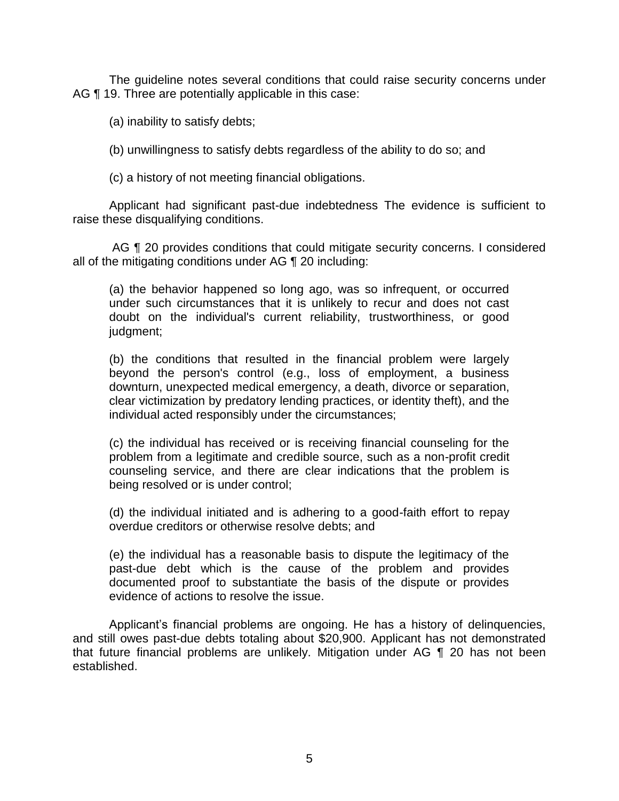The guideline notes several conditions that could raise security concerns under AG ¶ 19. Three are potentially applicable in this case:

(a) inability to satisfy debts;

(b) unwillingness to satisfy debts regardless of the ability to do so; and

(c) a history of not meeting financial obligations.

 Applicant had significant past-due indebtedness The evidence is sufficient to raise these disqualifying conditions.

 AG ¶ 20 provides conditions that could mitigate security concerns. I considered all of the mitigating conditions under AG ¶ 20 including:

(a) the behavior happened so long ago, was so infrequent, or occurred under such circumstances that it is unlikely to recur and does not cast doubt on the individual's current reliability, trustworthiness, or good judgment;

(b) the conditions that resulted in the financial problem were largely beyond the person's control (e.g., loss of employment, a business downturn, unexpected medical emergency, a death, divorce or separation, clear victimization by predatory lending practices, or identity theft), and the individual acted responsibly under the circumstances;

(c) the individual has received or is receiving financial counseling for the problem from a legitimate and credible source, such as a non-profit credit counseling service, and there are clear indications that the problem is being resolved or is under control;

(d) the individual initiated and is adhering to a good-faith effort to repay overdue creditors or otherwise resolve debts; and

 (e) the individual has a reasonable basis to dispute the legitimacy of the past-due debt which is the cause of the problem and provides documented proof to substantiate the basis of the dispute or provides evidence of actions to resolve the issue.

 Applicant's financial problems are ongoing. He has a history of delinquencies, and still owes past-due debts totaling about \$20,900. Applicant has not demonstrated that future financial problems are unlikely. Mitigation under AG ¶ 20 has not been established.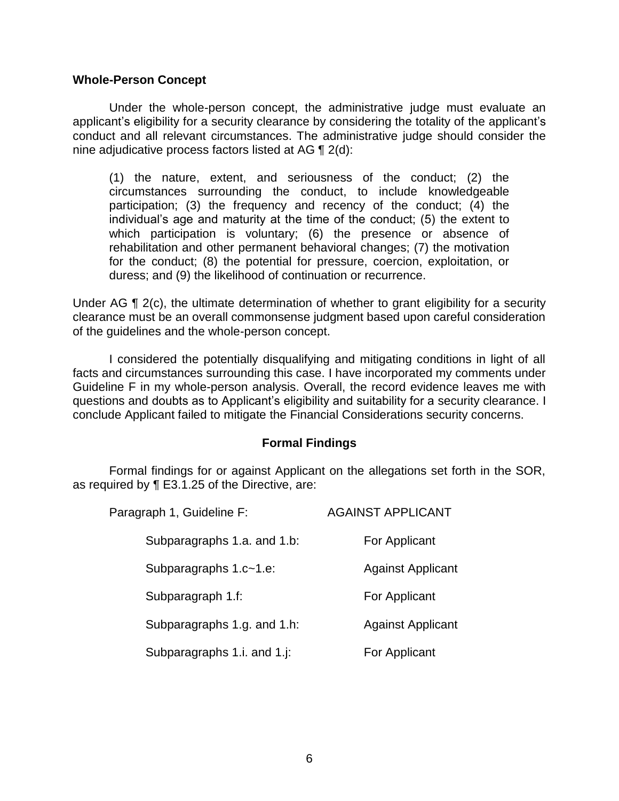#### **Whole-Person Concept**

 Under the whole-person concept, the administrative judge must evaluate an applicant's eligibility for a security clearance by considering the totality of the applicant's conduct and all relevant circumstances. The administrative judge should consider the nine adjudicative process factors listed at AG ¶ 2(d):

(1) the nature, extent, and seriousness of the conduct; (2) the circumstances surrounding the conduct, to include knowledgeable participation; (3) the frequency and recency of the conduct; (4) the individual's age and maturity at the time of the conduct; (5) the extent to which participation is voluntary; (6) the presence or absence of rehabilitation and other permanent behavioral changes; (7) the motivation for the conduct; (8) the potential for pressure, coercion, exploitation, or duress; and (9) the likelihood of continuation or recurrence.

Under AG ¶ 2(c), the ultimate determination of whether to grant eligibility for a security clearance must be an overall commonsense judgment based upon careful consideration of the guidelines and the whole-person concept.

 I considered the potentially disqualifying and mitigating conditions in light of all facts and circumstances surrounding this case. I have incorporated my comments under Guideline F in my whole-person analysis. Overall, the record evidence leaves me with questions and doubts as to Applicant's eligibility and suitability for a security clearance. I conclude Applicant failed to mitigate the Financial Considerations security concerns.

#### **Formal Findings**

 Formal findings for or against Applicant on the allegations set forth in the SOR, as required by ¶ E3.1.25 of the Directive, are:

| Paragraph 1, Guideline F:   | <b>AGAINST APPLICANT</b> |
|-----------------------------|--------------------------|
| Subparagraphs 1.a. and 1.b: | For Applicant            |
| Subparagraphs 1.c~1.e:      | <b>Against Applicant</b> |
| Subparagraph 1.f:           | For Applicant            |
| Subparagraphs 1.g. and 1.h: | <b>Against Applicant</b> |
| Subparagraphs 1.i. and 1.j: | For Applicant            |